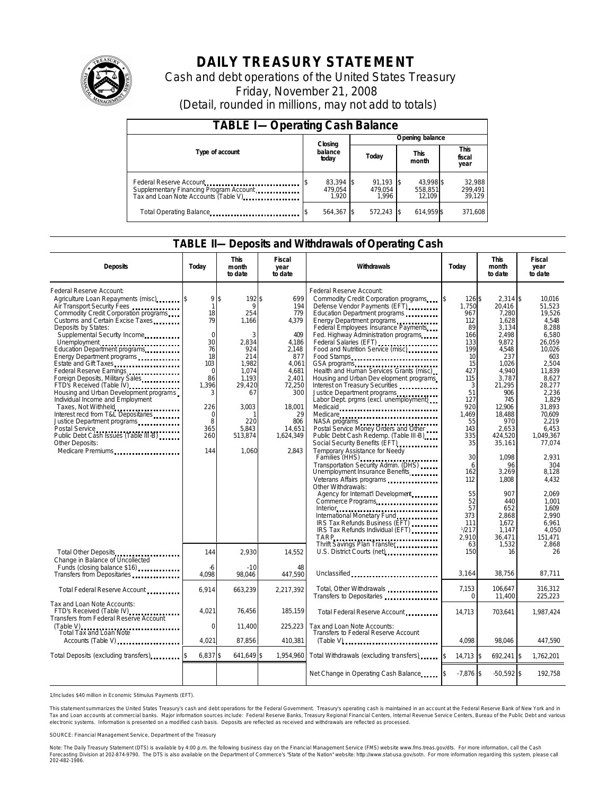

# **DAILY TREASURY STATEMENT**

Cash and debt operations of the United States Treasury Friday, November 21, 2008 (Detail, rounded in millions, may not add to totals)

| <b>TABLE I-Operating Cash Balance</b>                                                                      |                               |                                 |                                |                             |  |  |  |
|------------------------------------------------------------------------------------------------------------|-------------------------------|---------------------------------|--------------------------------|-----------------------------|--|--|--|
|                                                                                                            |                               | Opening balance                 |                                |                             |  |  |  |
| Type of account                                                                                            | balance<br>today              | Closing<br>Today                |                                | This<br>fiscal<br>year      |  |  |  |
| Federal Reserve Account<br>Supplementary Financing Program Account<br>Tax and Loan Note Accounts (Table V) | 83,394 \$<br>479.054<br>1.920 | $91.193$ \$<br>479.054<br>1.996 | 43.998 \$<br>558,851<br>12.109 | 32,988<br>299,491<br>39,129 |  |  |  |
| Total Operating Balance                                                                                    | 564,367                       | $572,243$ \$                    | 614,959 \$                     | 371,608                     |  |  |  |

### **TABLE II—Deposits and Withdrawals of Operating Cash**

| <b>Deposits</b>                                                                                                                                                                                                                                                                                                                                                                                                                                                                                                                                                                                                                                                                                                  | Todav                                                                                                                                                        | <b>This</b><br>month<br>to date                                                                                                                | Fiscal<br>year<br>to date                                                                                                                                     | Withdrawals                                                                                                                                                                                                                                                                                                                                                                                                                                                                                                                                                                                                                                                                                                                                                                                                                                                                                                                                                                                                                                                                                                                                                                                                                                                                                                                     | Todav                                                                                                                                                                                                                           | <b>This</b><br>month<br>to date                                                                                                                                                                                                                                                                   | Fiscal<br>year<br>to date                                                                                                                                                                                                                                                                                         |
|------------------------------------------------------------------------------------------------------------------------------------------------------------------------------------------------------------------------------------------------------------------------------------------------------------------------------------------------------------------------------------------------------------------------------------------------------------------------------------------------------------------------------------------------------------------------------------------------------------------------------------------------------------------------------------------------------------------|--------------------------------------------------------------------------------------------------------------------------------------------------------------|------------------------------------------------------------------------------------------------------------------------------------------------|---------------------------------------------------------------------------------------------------------------------------------------------------------------|---------------------------------------------------------------------------------------------------------------------------------------------------------------------------------------------------------------------------------------------------------------------------------------------------------------------------------------------------------------------------------------------------------------------------------------------------------------------------------------------------------------------------------------------------------------------------------------------------------------------------------------------------------------------------------------------------------------------------------------------------------------------------------------------------------------------------------------------------------------------------------------------------------------------------------------------------------------------------------------------------------------------------------------------------------------------------------------------------------------------------------------------------------------------------------------------------------------------------------------------------------------------------------------------------------------------------------|---------------------------------------------------------------------------------------------------------------------------------------------------------------------------------------------------------------------------------|---------------------------------------------------------------------------------------------------------------------------------------------------------------------------------------------------------------------------------------------------------------------------------------------------|-------------------------------------------------------------------------------------------------------------------------------------------------------------------------------------------------------------------------------------------------------------------------------------------------------------------|
| Federal Reserve Account:<br>Agriculture Loan Repayments (misc) [\$<br>Air Transport Security Fees<br>Commodity Credit Corporation programs<br>Customs and Certain Excise Taxes<br>Deposits by States:<br>Supplemental Security Income<br>Education Department programs<br>Energy Department programs<br>Estate and Gift Taxes.<br>Federal Reserve Earnings<br>Foreign Deposits, Military Sales<br>FTD's Received (Table IV)<br>Housing and Urban Development programs<br>Individual Income and Employment<br>Taxes, Not Withheld<br>Interest recd from T&L Depositaries<br>Justice Department programs<br>Postal Service<br>Public Debt Cash Issues (Table III-B)<br><b>Other Deposits:</b><br>Medicare Premiums | 9 <sup>5</sup><br>$\mathbf{1}$<br>18<br>79<br>$\Omega$<br>30<br>76<br>18<br>103<br>$\Omega$<br>86<br>1,396<br>3<br>226<br>$\Omega$<br>8<br>365<br>260<br>144 | 192\$<br>9<br>254<br>1,166<br>3<br>2.834<br>924<br>214<br>1.982<br>1.074<br>1.193<br>29,420<br>67<br>3,003<br>220<br>5.843<br>513.874<br>1.060 | 699<br>194<br>779<br>4,379<br>409<br>4.186<br>2,148<br>877<br>4.061<br>4.681<br>2,401<br>72,250<br>300<br>18,001<br>29<br>806<br>14.651<br>1.624.349<br>2,843 | Federal Reserve Account:<br>Commodity Credit Corporation programs<br>Defense Vendor Payments (EFT)<br>Education Department programs<br>Energy Department programs<br>Federal Employees Insurance Payments<br>Fed. Highway Administration programs<br>Federal Salaries (EFT) ,<br>Food and Nutrition Service (misc)<br>Food Stamps<br>GSA programs<br>Health and Human Services Grants (misc)<br>Housing and Urban Dev elopment programs<br>Interest on Treasury Securities<br>Justice Department programs<br>Labor Dept. prgms (excl. unemployment)<br>Medicaid<br>Medicare<br>NASA programs<br>experiences in the contract of the contract of the set of the set of the set of the set of the set of the set of the set of the set of the set of the set of the set of the set of the set of the set<br>Postal Service Money Orders and Other<br>Public Debt Cash Redemp. (Table III-B)<br>Social Security Benefits (EFT)<br><br>Temporary Assistance for Needy<br>Families (HHS)<br>Transportation Security Admin. (DHS)<br>Unemployment Insurance Benefits<br>Veterans Affairs programs<br>Other Withdrawals:<br>Agency for Internat'l Development<br>Commerce Programs<br>International Monetary Fund.<br>IRS Tax Refunds Business (EFT)<br>IRS Tax Refunds Individual (EFT)<br><b>TARP</b><br>Thrift Savings Plan Transfer | 126 \$<br>1.750<br>967<br>112<br>89<br>166<br>133<br>199<br>10<br>15<br>427<br>115<br>3<br>51<br>127<br>920<br>1,469<br>55<br>143<br>335<br>35<br>30<br>6<br>162<br>112<br>55<br>52<br>57<br>373<br>111<br>1/217<br>2.910<br>63 | $2.314$ \$<br>20.416<br>7,280<br>1,628<br>3,134<br>2.498<br>9.872<br>4,548<br>237<br>1.026<br>4.940<br>3,787<br>21,295<br>906<br>745<br>12,906<br>18,488<br>970<br>2.653<br>424,520<br>35,161<br>1.098<br>96<br>3,269<br>1.808<br>907<br>440<br>652<br>2.868<br>1,672<br>1,147<br>36.471<br>1,532 | 10.016<br>51.523<br>19.526<br>4.548<br>8,288<br>6.580<br>26.059<br>10,026<br>603<br>2.504<br>11.839<br>8.627<br>28,277<br>2.236<br>1.829<br>31.893<br>70.609<br>2.219<br>6.453<br>1.049.367<br>77,074<br>2.931<br>304<br>8,128<br>4,432<br>2.069<br>1.001<br>1,609<br>2.990<br>6.961<br>4,050<br>151.471<br>2,868 |
| Total Other Deposits<br>Change in Balance of Uncollected<br>Funds (closing balance \$16)                                                                                                                                                                                                                                                                                                                                                                                                                                                                                                                                                                                                                         | 144<br>-6                                                                                                                                                    | 2,930<br>$-10$                                                                                                                                 | 14,552<br>48                                                                                                                                                  | U.S. District Courts (net)                                                                                                                                                                                                                                                                                                                                                                                                                                                                                                                                                                                                                                                                                                                                                                                                                                                                                                                                                                                                                                                                                                                                                                                                                                                                                                      | 150                                                                                                                                                                                                                             | 16                                                                                                                                                                                                                                                                                                | 26                                                                                                                                                                                                                                                                                                                |
| Transfers from Depositaries<br>Total Federal Reserve Account                                                                                                                                                                                                                                                                                                                                                                                                                                                                                                                                                                                                                                                     | 4.098<br>6,914                                                                                                                                               | 98,046<br>663,239                                                                                                                              | 447,590<br>2,217,392                                                                                                                                          | Unclassified<br>Total, Other Withdrawals<br>Transfers to Depositaries                                                                                                                                                                                                                                                                                                                                                                                                                                                                                                                                                                                                                                                                                                                                                                                                                                                                                                                                                                                                                                                                                                                                                                                                                                                           | 3,164<br>7,153<br>$\Omega$                                                                                                                                                                                                      | 38,756<br>106,647<br>11,400                                                                                                                                                                                                                                                                       | 87,711<br>316,312<br>225,223                                                                                                                                                                                                                                                                                      |
| Tax and Loan Note Accounts:<br>FTD's Received (Table IV)<br>Transfers from Federal Reserve Account<br>(Table V)                                                                                                                                                                                                                                                                                                                                                                                                                                                                                                                                                                                                  | 4,021<br>$\Omega$                                                                                                                                            | 76,456<br>11,400                                                                                                                               | 185,159<br>225,223                                                                                                                                            | Total Federal Reserve Account<br>Tax and Loan Note Accounts:                                                                                                                                                                                                                                                                                                                                                                                                                                                                                                                                                                                                                                                                                                                                                                                                                                                                                                                                                                                                                                                                                                                                                                                                                                                                    | 14,713                                                                                                                                                                                                                          | 703,641                                                                                                                                                                                                                                                                                           | 1,987,424                                                                                                                                                                                                                                                                                                         |
| <b>Total Tax and Loan Note</b><br>Accounts (Table V) <b>Accounts</b> (Table V)                                                                                                                                                                                                                                                                                                                                                                                                                                                                                                                                                                                                                                   | 4,021                                                                                                                                                        | 87,856                                                                                                                                         | 410,381                                                                                                                                                       | Transfers to Federal Reserve Account<br>$(Table V)$                                                                                                                                                                                                                                                                                                                                                                                                                                                                                                                                                                                                                                                                                                                                                                                                                                                                                                                                                                                                                                                                                                                                                                                                                                                                             | 4.098                                                                                                                                                                                                                           | 98.046                                                                                                                                                                                                                                                                                            | 447,590                                                                                                                                                                                                                                                                                                           |
| Total Deposits (excluding transfers)                                                                                                                                                                                                                                                                                                                                                                                                                                                                                                                                                                                                                                                                             | $6,837$ \$                                                                                                                                                   | 641,649 \$                                                                                                                                     | 1,954,960                                                                                                                                                     | Total Withdrawals (excluding transfers)                                                                                                                                                                                                                                                                                                                                                                                                                                                                                                                                                                                                                                                                                                                                                                                                                                                                                                                                                                                                                                                                                                                                                                                                                                                                                         | $\mathbf{\hat{S}}$<br>$14,713$ \$                                                                                                                                                                                               | 692,241 \$                                                                                                                                                                                                                                                                                        | 1,762,201                                                                                                                                                                                                                                                                                                         |
|                                                                                                                                                                                                                                                                                                                                                                                                                                                                                                                                                                                                                                                                                                                  |                                                                                                                                                              |                                                                                                                                                |                                                                                                                                                               | Net Change in Operating Cash Balance                                                                                                                                                                                                                                                                                                                                                                                                                                                                                                                                                                                                                                                                                                                                                                                                                                                                                                                                                                                                                                                                                                                                                                                                                                                                                            | $-7,876$ \$                                                                                                                                                                                                                     | $-50,592$ \$                                                                                                                                                                                                                                                                                      | 192,758                                                                                                                                                                                                                                                                                                           |

1/Includes \$40 million in Economic Stimulus Payments (EFT).

This statement summarizes the United States Treasury's cash and debt operations for the Federal Government. Treasury's operating cash is maintained in an account at the Federal Reserve Bank of New York and in<br>Tax and Loan electronic systems. Information is presented on a modified cash basis. Deposits are reflected as received and withdrawals are reflected as processed.

SOURCE: Financial Management Service, Department of the Treasury

Note: The Daily Treasury Statement (DTS) is available by 4:00 p.m. the following business day on the Financial Management Service (FMS) website www.fms.treas.gov/dts. For more information, call the Cash Forecasting Division at 202-874-9790. The DTS is also available on the Department of Commerce's "State of the Nation" website: http://www.stat-usa.gov/sotn. For more information regarding this system, please call<br>202-482-1